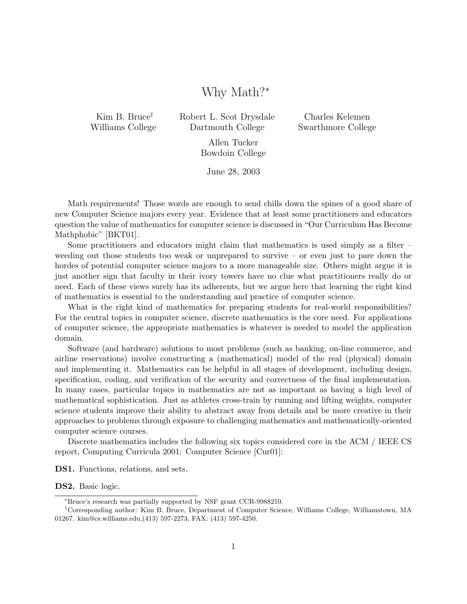# Why Math?<sup>∗</sup>

Kim B. Bruce† Williams College Robert L. Scot Drysdale Dartmouth College

Charles Kelemen Swarthmore College

Allen Tucker Bowdoin College

June 28, 2003

Math requirements! Those words are enough to send chills down the spines of a good share of new Computer Science majors every year. Evidence that at least some practitioners and educators question the value of mathematics for computer science is discussed in "Our Curriculum Has Become Mathphobic" [BKT01].

Some practitioners and educators might claim that mathematics is used simply as a filter – weeding out those students too weak or unprepared to survive – or even just to pare down the hordes of potential computer science majors to a more manageable size. Others might argue it is just another sign that faculty in their ivory towers have no clue what practitioners really do or need. Each of these views surely has its adherents, but we argue here that learning the right kind of mathematics is essential to the understanding and practice of computer science.

What is the right kind of mathematics for preparing students for real-world responsibilities? For the central topics in computer science, discrete mathematics is the core need. For applications of computer science, the appropriate mathematics is whatever is needed to model the application domain.

Software (and hardware) solutions to most problems (such as banking, on-line commerce, and airline reservations) involve constructing a (mathematical) model of the real (physical) domain and implementing it. Mathematics can be helpful in all stages of development, including design, specification, coding, and verification of the security and correctness of the final implementation. In many cases, particular topics in mathematics are not as important as having a high level of mathematical sophistication. Just as athletes cross-train by running and lifting weights, computer science students improve their ability to abstract away from details and be more creative in their approaches to problems through exposure to challenging mathematics and mathematically-oriented computer science courses.

Discrete mathematics includes the following six topics considered core in the ACM / IEEE CS report, Computing Curricula 2001: Computer Science [Cur01]:

DS1. Functions, relations, and sets.

DS2. Basic logic.

<sup>∗</sup>Bruce's research was partially supported by NSF grant CCR-9988210.

<sup>†</sup>Corresponding author: Kim B. Bruce, Department of Computer Science, Williams College, Williamstown, MA 01267. kim@cs.williams.edu,(413) 597-2273, FAX: (413) 597-4250.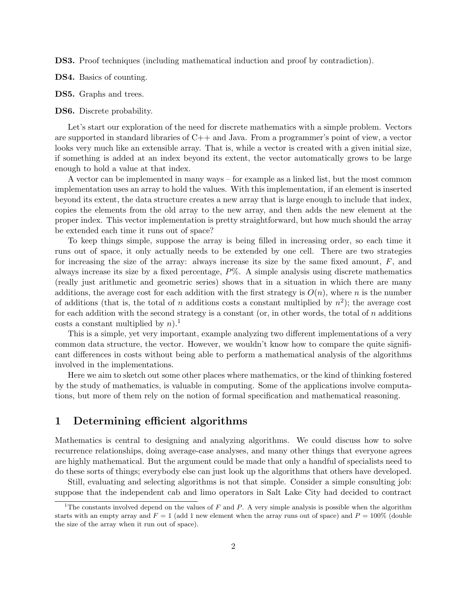DS3. Proof techniques (including mathematical induction and proof by contradiction).

- DS4. Basics of counting.
- DS5. Graphs and trees.
- DS6. Discrete probability.

Let's start our exploration of the need for discrete mathematics with a simple problem. Vectors are supported in standard libraries of C++ and Java. From a programmer's point of view, a vector looks very much like an extensible array. That is, while a vector is created with a given initial size, if something is added at an index beyond its extent, the vector automatically grows to be large enough to hold a value at that index.

A vector can be implemented in many ways – for example as a linked list, but the most common implementation uses an array to hold the values. With this implementation, if an element is inserted beyond its extent, the data structure creates a new array that is large enough to include that index, copies the elements from the old array to the new array, and then adds the new element at the proper index. This vector implementation is pretty straightforward, but how much should the array be extended each time it runs out of space?

To keep things simple, suppose the array is being filled in increasing order, so each time it runs out of space, it only actually needs to be extended by one cell. There are two strategies for increasing the size of the array: always increase its size by the same fixed amount,  $F$ , and always increase its size by a fixed percentage,  $P\%$ . A simple analysis using discrete mathematics (really just arithmetic and geometric series) shows that in a situation in which there are many additions, the average cost for each addition with the first strategy is  $O(n)$ , where n is the number of additions (that is, the total of n additions costs a constant multiplied by  $n^2$ ); the average cost for each addition with the second strategy is a constant (or, in other words, the total of n additions costs a constant multiplied by  $n$ ).<sup>1</sup>

This is a simple, yet very important, example analyzing two different implementations of a very common data structure, the vector. However, we wouldn't know how to compare the quite significant differences in costs without being able to perform a mathematical analysis of the algorithms involved in the implementations.

Here we aim to sketch out some other places where mathematics, or the kind of thinking fostered by the study of mathematics, is valuable in computing. Some of the applications involve computations, but more of them rely on the notion of formal specification and mathematical reasoning.

### 1 Determining efficient algorithms

Mathematics is central to designing and analyzing algorithms. We could discuss how to solve recurrence relationships, doing average-case analyses, and many other things that everyone agrees are highly mathematical. But the argument could be made that only a handful of specialists need to do these sorts of things; everybody else can just look up the algorithms that others have developed.

Still, evaluating and selecting algorithms is not that simple. Consider a simple consulting job: suppose that the independent cab and limo operators in Salt Lake City had decided to contract

<sup>&</sup>lt;sup>1</sup>The constants involved depend on the values of F and P. A very simple analysis is possible when the algorithm starts with an empty array and  $F = 1$  (add 1 new element when the array runs out of space) and  $P = 100\%$  (double the size of the array when it run out of space).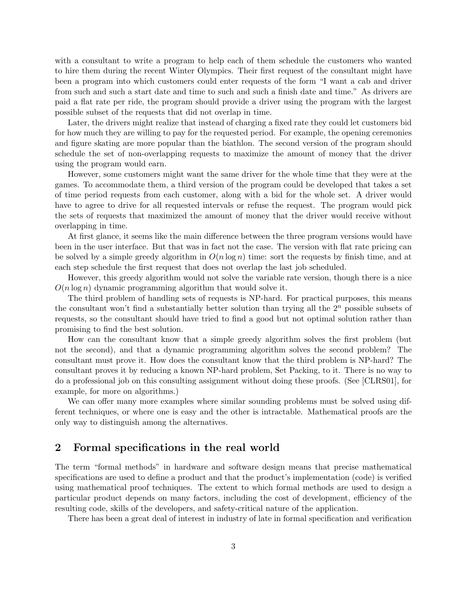with a consultant to write a program to help each of them schedule the customers who wanted to hire them during the recent Winter Olympics. Their first request of the consultant might have been a program into which customers could enter requests of the form "I want a cab and driver from such and such a start date and time to such and such a finish date and time." As drivers are paid a flat rate per ride, the program should provide a driver using the program with the largest possible subset of the requests that did not overlap in time.

Later, the drivers might realize that instead of charging a fixed rate they could let customers bid for how much they are willing to pay for the requested period. For example, the opening ceremonies and figure skating are more popular than the biathlon. The second version of the program should schedule the set of non-overlapping requests to maximize the amount of money that the driver using the program would earn.

However, some customers might want the same driver for the whole time that they were at the games. To accommodate them, a third version of the program could be developed that takes a set of time period requests from each customer, along with a bid for the whole set. A driver would have to agree to drive for all requested intervals or refuse the request. The program would pick the sets of requests that maximized the amount of money that the driver would receive without overlapping in time.

At first glance, it seems like the main difference between the three program versions would have been in the user interface. But that was in fact not the case. The version with flat rate pricing can be solved by a simple greedy algorithm in  $O(n \log n)$  time: sort the requests by finish time, and at each step schedule the first request that does not overlap the last job scheduled.

However, this greedy algorithm would not solve the variable rate version, though there is a nice  $O(n \log n)$  dynamic programming algorithm that would solve it.

The third problem of handling sets of requests is NP-hard. For practical purposes, this means the consultant won't find a substantially better solution than trying all the  $2<sup>n</sup>$  possible subsets of requests, so the consultant should have tried to find a good but not optimal solution rather than promising to find the best solution.

How can the consultant know that a simple greedy algorithm solves the first problem (but not the second), and that a dynamic programming algorithm solves the second problem? The consultant must prove it. How does the consultant know that the third problem is NP-hard? The consultant proves it by reducing a known NP-hard problem, Set Packing, to it. There is no way to do a professional job on this consulting assignment without doing these proofs. (See [CLRS01], for example, for more on algorithms.)

We can offer many more examples where similar sounding problems must be solved using different techniques, or where one is easy and the other is intractable. Mathematical proofs are the only way to distinguish among the alternatives.

### 2 Formal specifications in the real world

The term "formal methods" in hardware and software design means that precise mathematical specifications are used to define a product and that the product's implementation (code) is verified using mathematical proof techniques. The extent to which formal methods are used to design a particular product depends on many factors, including the cost of development, efficiency of the resulting code, skills of the developers, and safety-critical nature of the application.

There has been a great deal of interest in industry of late in formal specification and verification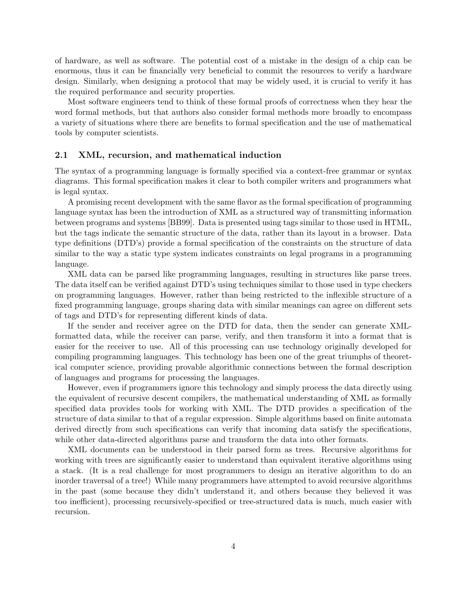of hardware, as well as software. The potential cost of a mistake in the design of a chip can be enormous, thus it can be financially very beneficial to commit the resources to verify a hardware design. Similarly, when designing a protocol that may be widely used, it is crucial to verify it has the required performance and security properties.

Most software engineers tend to think of these formal proofs of correctness when they hear the word formal methods, but that authors also consider formal methods more broadly to encompass a variety of situations where there are benefits to formal specification and the use of mathematical tools by computer scientists.

#### 2.1 XML, recursion, and mathematical induction

The syntax of a programming language is formally specified via a context-free grammar or syntax diagrams. This formal specification makes it clear to both compiler writers and programmers what is legal syntax.

A promising recent development with the same flavor as the formal specification of programming language syntax has been the introduction of XML as a structured way of transmitting information between programs and systems [BB99]. Data is presented using tags similar to those used in HTML, but the tags indicate the semantic structure of the data, rather than its layout in a browser. Data type definitions (DTD's) provide a formal specification of the constraints on the structure of data similar to the way a static type system indicates constraints on legal programs in a programming language.

XML data can be parsed like programming languages, resulting in structures like parse trees. The data itself can be verified against DTD's using techniques similar to those used in type checkers on programming languages. However, rather than being restricted to the inflexible structure of a fixed programming language, groups sharing data with similar meanings can agree on different sets of tags and DTD's for representing different kinds of data.

If the sender and receiver agree on the DTD for data, then the sender can generate XMLformatted data, while the receiver can parse, verify, and then transform it into a format that is easier for the receiver to use. All of this processing can use technology originally developed for compiling programming languages. This technology has been one of the great triumphs of theoretical computer science, providing provable algorithmic connections between the formal description of languages and programs for processing the languages.

However, even if programmers ignore this technology and simply process the data directly using the equivalent of recursive descent compilers, the mathematical understanding of XML as formally specified data provides tools for working with XML. The DTD provides a specification of the structure of data similar to that of a regular expression. Simple algorithms based on finite automata derived directly from such specifications can verify that incoming data satisfy the specifications, while other data-directed algorithms parse and transform the data into other formats.

XML documents can be understood in their parsed form as trees. Recursive algorithms for working with trees are significantly easier to understand than equivalent iterative algorithms using a stack. (It is a real challenge for most programmers to design an iterative algorithm to do an inorder traversal of a tree!) While many programmers have attempted to avoid recursive algorithms in the past (some because they didn't understand it, and others because they believed it was too inefficient), processing recursively-specified or tree-structured data is much, much easier with recursion.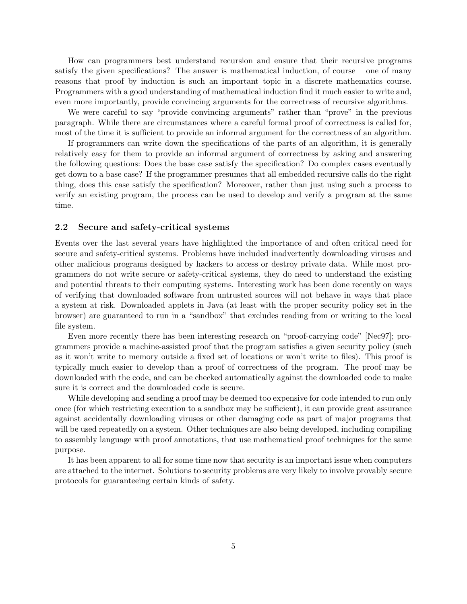How can programmers best understand recursion and ensure that their recursive programs satisfy the given specifications? The answer is mathematical induction, of course – one of many reasons that proof by induction is such an important topic in a discrete mathematics course. Programmers with a good understanding of mathematical induction find it much easier to write and, even more importantly, provide convincing arguments for the correctness of recursive algorithms.

We were careful to say "provide convincing arguments" rather than "prove" in the previous paragraph. While there are circumstances where a careful formal proof of correctness is called for, most of the time it is sufficient to provide an informal argument for the correctness of an algorithm.

If programmers can write down the specifications of the parts of an algorithm, it is generally relatively easy for them to provide an informal argument of correctness by asking and answering the following questions: Does the base case satisfy the specification? Do complex cases eventually get down to a base case? If the programmer presumes that all embedded recursive calls do the right thing, does this case satisfy the specification? Moreover, rather than just using such a process to verify an existing program, the process can be used to develop and verify a program at the same time.

#### 2.2 Secure and safety-critical systems

Events over the last several years have highlighted the importance of and often critical need for secure and safety-critical systems. Problems have included inadvertently downloading viruses and other malicious programs designed by hackers to access or destroy private data. While most programmers do not write secure or safety-critical systems, they do need to understand the existing and potential threats to their computing systems. Interesting work has been done recently on ways of verifying that downloaded software from untrusted sources will not behave in ways that place a system at risk. Downloaded applets in Java (at least with the proper security policy set in the browser) are guaranteed to run in a "sandbox" that excludes reading from or writing to the local file system.

Even more recently there has been interesting research on "proof-carrying code" [Nec97]; programmers provide a machine-assisted proof that the program satisfies a given security policy (such as it won't write to memory outside a fixed set of locations or won't write to files). This proof is typically much easier to develop than a proof of correctness of the program. The proof may be downloaded with the code, and can be checked automatically against the downloaded code to make sure it is correct and the downloaded code is secure.

While developing and sending a proof may be deemed too expensive for code intended to run only once (for which restricting execution to a sandbox may be sufficient), it can provide great assurance against accidentally downloading viruses or other damaging code as part of major programs that will be used repeatedly on a system. Other techniques are also being developed, including compiling to assembly language with proof annotations, that use mathematical proof techniques for the same purpose.

It has been apparent to all for some time now that security is an important issue when computers are attached to the internet. Solutions to security problems are very likely to involve provably secure protocols for guaranteeing certain kinds of safety.